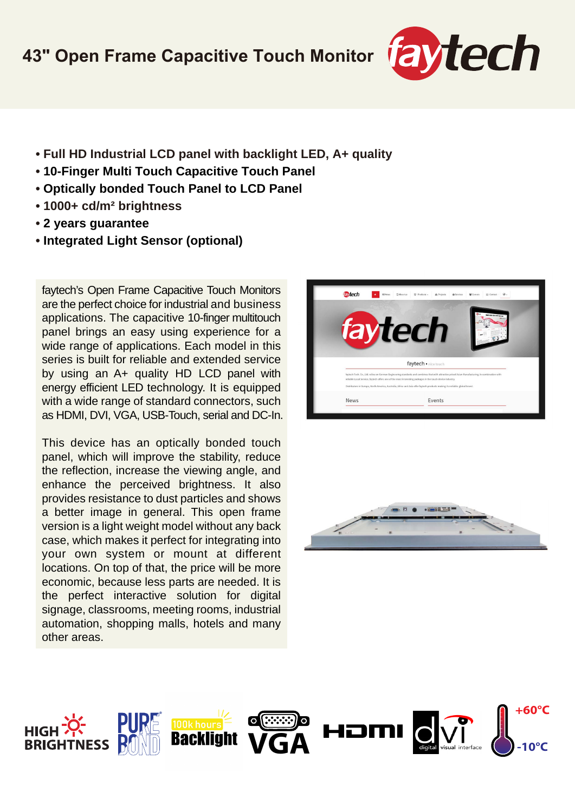## **43" Open Frame Capacitive Touch Monitor**



- **Full HD Industrial LCD panel with backlight LED, A+ quality**
- **10-Finger Multi Touch Capacitive Touch Panel**
- **Optically bonded Touch Panel to LCD Panel**
- **1000+ cd/m² brightness**
- **2 years guarantee**
- **Integrated Light Sensor (optional)**

faytech's Open Frame Capacitive Touch Monitors are the perfect choice for industrial and business applications. The capacitive 10-finger multitouch panel brings an easy using experience for a wide range of applications. Each model in this series is built for reliable and extended service by using an A+ quality HD LCD panel with energy efficient LED technology. It is equipped with a wide range of standard connectors, such as HDMI, DVI, VGA, USB-Touch, serial and DC-In.

This device has an optically bonded touch panel, which will improve the stability, reduce the reflection, increase the viewing angle, and enhance the perceived brightness. It also provides resistance to dust particles and shows a better image in general. This open frame version is a light weight model without any back case, which makes it perfect for integrating into your own system or mount at different locations. On top of that, the price will be more economic, because less parts are needed. It is the perfect interactive solution for digital signage, classrooms, meeting rooms, industrial automation, shopping malls, hotels and many other areas.